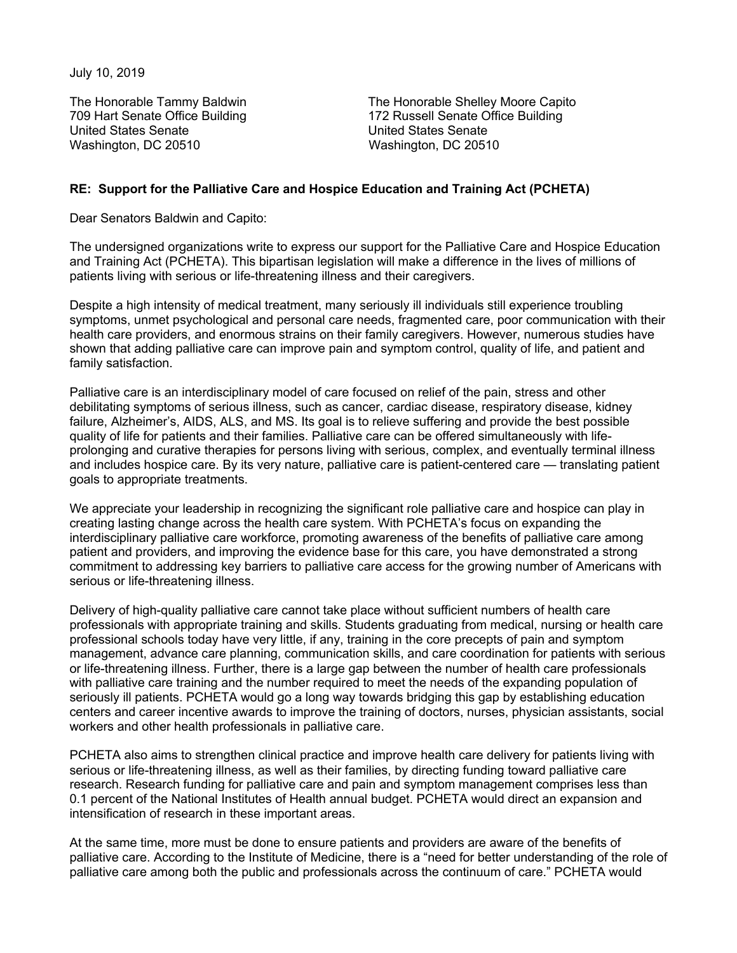July 10, 2019

United States Senate United States Senate Washington, DC 20510 Washington, DC 20510

The Honorable Tammy Baldwin The Honorable Shelley Moore Capito 709 Hart Senate Office Building 172 Russell Senate Office Building

## **RE: Support for the Palliative Care and Hospice Education and Training Act (PCHETA)**

Dear Senators Baldwin and Capito:

The undersigned organizations write to express our support for the Palliative Care and Hospice Education and Training Act (PCHETA). This bipartisan legislation will make a difference in the lives of millions of patients living with serious or life-threatening illness and their caregivers.

Despite a high intensity of medical treatment, many seriously ill individuals still experience troubling symptoms, unmet psychological and personal care needs, fragmented care, poor communication with their health care providers, and enormous strains on their family caregivers. However, numerous studies have shown that adding palliative care can improve pain and symptom control, quality of life, and patient and family satisfaction.

Palliative care is an interdisciplinary model of care focused on relief of the pain, stress and other debilitating symptoms of serious illness, such as cancer, cardiac disease, respiratory disease, kidney failure, Alzheimer's, AIDS, ALS, and MS. Its goal is to relieve suffering and provide the best possible quality of life for patients and their families. Palliative care can be offered simultaneously with lifeprolonging and curative therapies for persons living with serious, complex, and eventually terminal illness and includes hospice care. By its very nature, palliative care is patient-centered care — translating patient goals to appropriate treatments.

We appreciate your leadership in recognizing the significant role palliative care and hospice can play in creating lasting change across the health care system. With PCHETA's focus on expanding the interdisciplinary palliative care workforce, promoting awareness of the benefits of palliative care among patient and providers, and improving the evidence base for this care, you have demonstrated a strong commitment to addressing key barriers to palliative care access for the growing number of Americans with serious or life-threatening illness.

Delivery of high-quality palliative care cannot take place without sufficient numbers of health care professionals with appropriate training and skills. Students graduating from medical, nursing or health care professional schools today have very little, if any, training in the core precepts of pain and symptom management, advance care planning, communication skills, and care coordination for patients with serious or life-threatening illness. Further, there is a large gap between the number of health care professionals with palliative care training and the number required to meet the needs of the expanding population of seriously ill patients. PCHETA would go a long way towards bridging this gap by establishing education centers and career incentive awards to improve the training of doctors, nurses, physician assistants, social workers and other health professionals in palliative care.

PCHETA also aims to strengthen clinical practice and improve health care delivery for patients living with serious or life-threatening illness, as well as their families, by directing funding toward palliative care research. Research funding for palliative care and pain and symptom management comprises less than 0.1 percent of the National Institutes of Health annual budget. PCHETA would direct an expansion and intensification of research in these important areas.

At the same time, more must be done to ensure patients and providers are aware of the benefits of palliative care. According to the Institute of Medicine, there is a "need for better understanding of the role of palliative care among both the public and professionals across the continuum of care." PCHETA would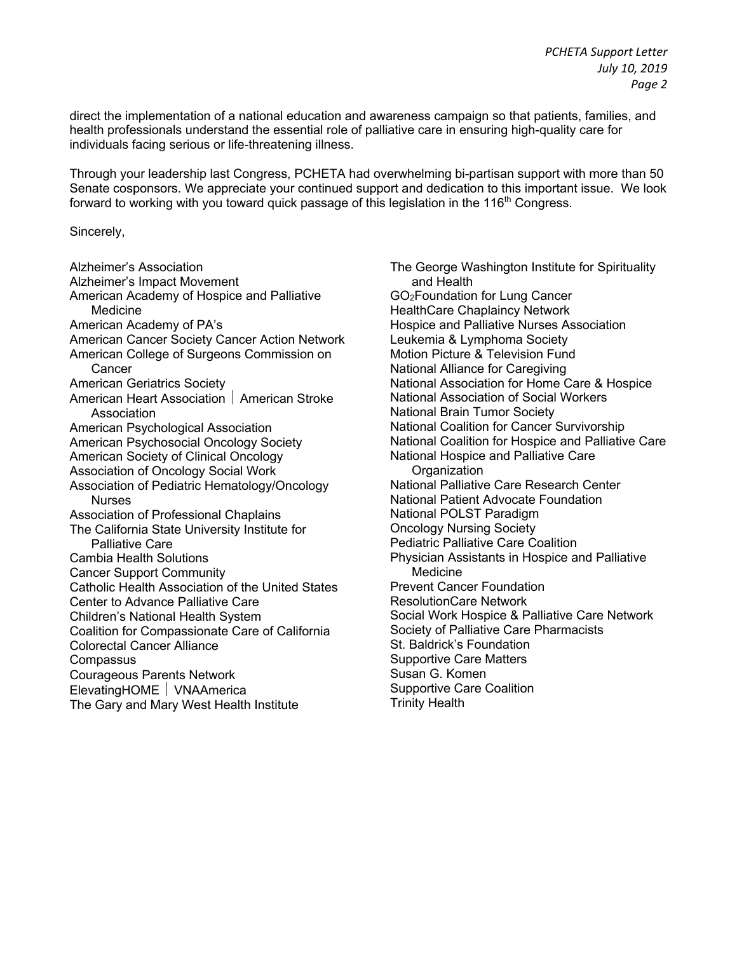direct the implementation of a national education and awareness campaign so that patients, families, and health professionals understand the essential role of palliative care in ensuring high-quality care for individuals facing serious or life-threatening illness.

Through your leadership last Congress, PCHETA had overwhelming bi-partisan support with more than 50 Senate cosponsors. We appreciate your continued support and dedication to this important issue. We look forward to working with you toward quick passage of this legislation in the 116<sup>th</sup> Congress.

Sincerely,

Alzheimer's Association Alzheimer's Impact Movement American Academy of Hospice and Palliative Medicine American Academy of PA's American Cancer Society Cancer Action Network American College of Surgeons Commission on **Cancer** American Geriatrics Society American Heart Association | American Stroke Association American Psychological Association American Psychosocial Oncology Society American Society of Clinical Oncology Association of Oncology Social Work Association of Pediatric Hematology/Oncology **Nurses** Association of Professional Chaplains The California State University Institute for Palliative Care Cambia Health Solutions Cancer Support Community Catholic Health Association of the United States Center to Advance Palliative Care Children's National Health System Coalition for Compassionate Care of California Colorectal Cancer Alliance **Compassus** Courageous Parents Network ElevatingHOME | VNAAmerica The Gary and Mary West Health Institute

The George Washington Institute for Spirituality and Health GO2Foundation for Lung Cancer HealthCare Chaplaincy Network Hospice and Palliative Nurses Association Leukemia & Lymphoma Society Motion Picture & Television Fund National Alliance for Caregiving National Association for Home Care & Hospice National Association of Social Workers National Brain Tumor Society National Coalition for Cancer Survivorship National Coalition for Hospice and Palliative Care National Hospice and Palliative Care **Organization** National Palliative Care Research Center National Patient Advocate Foundation National POLST Paradigm Oncology Nursing Society Pediatric Palliative Care Coalition Physician Assistants in Hospice and Palliative Medicine Prevent Cancer Foundation ResolutionCare Network Social Work Hospice & Palliative Care Network Society of Palliative Care Pharmacists St. Baldrick's Foundation Supportive Care Matters Susan G. Komen Supportive Care Coalition Trinity Health